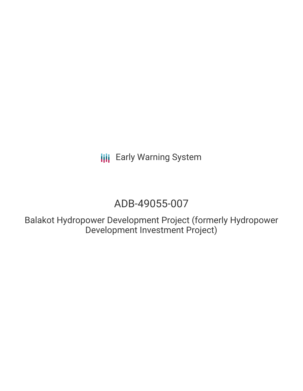**III** Early Warning System

# ADB-49055-007

Balakot Hydropower Development Project (formerly Hydropower Development Investment Project)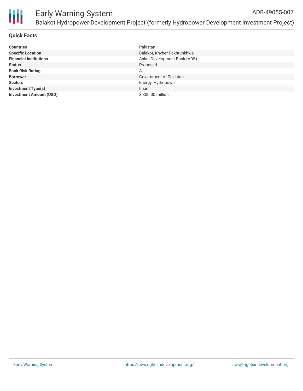

#### **Quick Facts**

| <b>Countries</b>               | Pakistan                     |
|--------------------------------|------------------------------|
| <b>Specific Location</b>       | Balakot, Khyber Pakhtunkhwa  |
| <b>Financial Institutions</b>  | Asian Development Bank (ADB) |
| <b>Status</b>                  | Proposed                     |
| <b>Bank Risk Rating</b>        | Α                            |
| <b>Borrower</b>                | Government of Pakistan       |
| <b>Sectors</b>                 | Energy, Hydropower           |
| <b>Investment Type(s)</b>      | Loan                         |
| <b>Investment Amount (USD)</b> | \$300,00 million             |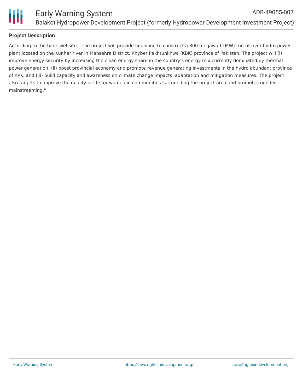

#### **Project Description**

According to the bank website, "The project will provide financing to construct a 300 megawatt (MW) run-of-river hydro power plant located on the Kunhar river in Mansehra District, Khyber Pakhtunkhwa (KBK) province of Pakistan. The project will (i) improve energy security by increasing the clean energy share in the country's energy mix currently dominated by thermal power generation, (ii) boost provincial economy and promote revenue generating investments in the hydro abundant province of KPK, and (iii) build capacity and awareness on climate change impacts, adaptation and mitigation measures. The project also targets to improve the quality of life for women in communities surrounding the project area and promotes gender mainstreaming."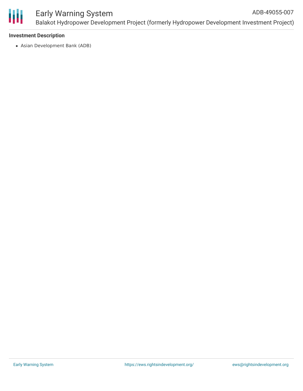

#### Early Warning System Balakot Hydropower Development Project (formerly Hydropower Development Investment Project) ADB-49055-007

#### **Investment Description**

Asian Development Bank (ADB)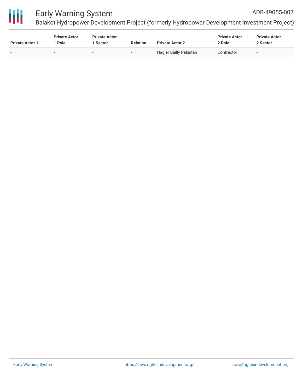

## Early Warning System

Balakot Hydropower Development Project (formerly Hydropower Development Investment Project)

| <b>Private Actor 1</b>   | <b>Private Actor</b><br>* Role | <b>Private Actor</b><br>Sector | <b>Relation</b>          | <b>Private Actor 2</b>        | <b>Private Actor</b><br>2 Role | <b>Private Actor</b><br>2 Sector |
|--------------------------|--------------------------------|--------------------------------|--------------------------|-------------------------------|--------------------------------|----------------------------------|
| $\overline{\phantom{0}}$ | $\overline{\phantom{0}}$       | $\overline{\phantom{a}}$       | $\overline{\phantom{a}}$ | <b>Hagler Bailly Pakistan</b> | Contractor                     | $\overline{\phantom{a}}$         |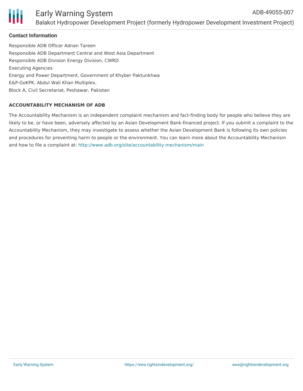

#### **Contact Information**

Responsible ADB Officer Adnan Tareen Responsible ADB Department Central and West Asia Department Responsible ADB Division Energy Division, CWRD Executing Agencies Energy and Power Department, Government of Khyber Paktunkhwa E&P-GoKPK, Abdul Wali Khan Multiplex, Block A, Civil Secretariat, Peshawar, Pakistan

#### **ACCOUNTABILITY MECHANISM OF ADB**

The Accountability Mechanism is an independent complaint mechanism and fact-finding body for people who believe they are likely to be, or have been, adversely affected by an Asian Development Bank-financed project. If you submit a complaint to the Accountability Mechanism, they may investigate to assess whether the Asian Development Bank is following its own policies and procedures for preventing harm to people or the environment. You can learn more about the Accountability Mechanism and how to file a complaint at: <http://www.adb.org/site/accountability-mechanism/main>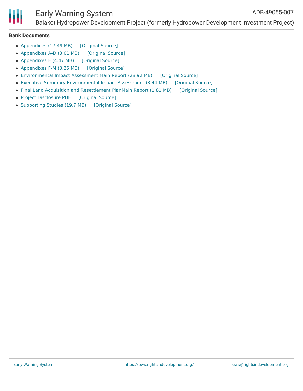

### Early Warning System

Balakot Hydropower Development Project (formerly Hydropower Development Investment Project)

#### **Bank Documents**

- [Appendices](https://ewsdata.rightsindevelopment.org/files/documents/07/ADB-49055-007_S3beR3v.pdf) (17.49 MB) [\[Original](https://www.adb.org/projects/documents/pak-49055-007-eia) Source]
- [Appendixes](https://ewsdata.rightsindevelopment.org/files/documents/07/ADB-49055-007_DCukP7V.pdf) A-D (3.01 MB) [\[Original](https://www.adb.org/projects/documents/pak-49055-007-rp) Source]
- [Appendixes](https://ewsdata.rightsindevelopment.org/files/documents/07/ADB-49055-007_cHNVknn.pdf) E (4.47 MB) [\[Original](https://www.adb.org/projects/documents/pak-49055-007-rp) Source]
- [Appendixes](https://ewsdata.rightsindevelopment.org/files/documents/07/ADB-49055-007_9Uzu1BL.pdf) F-M (3.25 MB) [\[Original](https://www.adb.org/projects/documents/pak-49055-007-rp) Source]
- [Environmental](https://ewsdata.rightsindevelopment.org/files/documents/07/ADB-49055-007_i7yX2Gv.pdf) Impact Assessment Main Report (28.92 MB) [\[Original](https://www.adb.org/projects/documents/pak-49055-007-eia) Source]
- Executive Summary [Environmental](https://ewsdata.rightsindevelopment.org/files/documents/07/ADB-49055-007_5bQQqOz.pdf) Impact Assessment (3.44 MB) [\[Original](https://www.adb.org/projects/documents/pak-49055-007-eia) Source]
- Final Land Acquisition and [Resettlement](https://ewsdata.rightsindevelopment.org/files/documents/07/ADB-49055-007_ReLbE4O.pdf) PlanMain Report (1.81 MB) [\[Original](https://www.adb.org/projects/documents/pak-49055-007-rp) Source]
- Project [Disclosure](https://ewsdata.rightsindevelopment.org/files/documents/07/ADB-49055-007.pdf) PDF [\[Original](https://www.adb.org/printpdf/projects/49055-007/main) Source]
- [Supporting](https://ewsdata.rightsindevelopment.org/files/documents/07/ADB-49055-007_LZBFADX.pdf) Studies (19.7 MB) [\[Original](https://www.adb.org/projects/documents/pak-49055-007-eia) Source]